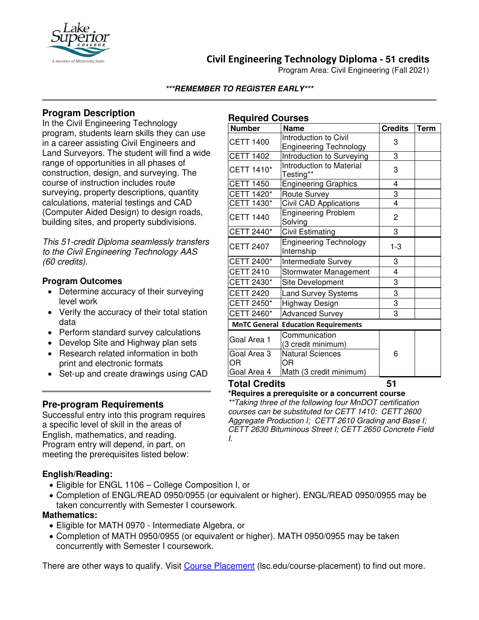

## **Civil Engineering Technology Diploma - 51 credits**

Program Area: Civil Engineering (Fall 2021)

#### **\*\*\*REMEMBER TO REGISTER EARLY\*\*\***

### **Program Description**

In the Civil Engineering Technology program, students learn skills they can use in a career assisting Civil Engineers and Land Surveyors. The student will find a wide range of opportunities in all phases of construction, design, and surveying. The course of instruction includes route surveying, property descriptions, quantity calculations, material testings and CAD (Computer Aided Design) to design roads, building sites, and property subdivisions.

*This 51-credit Diploma seamlessly transfers to the Civil Engineering Technology AAS (60 credits).*

#### **Program Outcomes**

- Determine accuracy of their surveying level work
- Verify the accuracy of their total station data
- Perform standard survey calculations
- Develop Site and Highway plan sets
- Research related information in both print and electronic formats
- Set-up and create drawings using CAD

#### **Pre-program Requirements**

Successful entry into this program requires a specific level of skill in the areas of English, mathematics, and reading. Program entry will depend, in part, on meeting the prerequisites listed below:

#### **English/Reading:**

- Eligible for ENGL 1106 College Composition I, or
- Completion of ENGL/READ 0950/0955 (or equivalent or higher). ENGL/READ 0950/0955 may be taken concurrently with Semester I coursework.

#### **Mathematics:**

- Eligible for MATH 0970 Intermediate Algebra, or
- Completion of MATH 0950/0955 (or equivalent or higher). MATH 0950/0955 may be taken concurrently with Semester I coursework.

There are other ways to qualify. Visit [Course Placement](https://www.lsc.edu/course-placement/) (lsc.edu/course-placement) to find out more.

#### **Required Courses**

| <b>Number</b>                              | <b>Name</b>                                            | <b>Credits</b> | <b>Term</b> |
|--------------------------------------------|--------------------------------------------------------|----------------|-------------|
| <b>CETT 1400</b>                           | Introduction to Civil<br><b>Engineering Technology</b> | 3              |             |
| <b>CETT 1402</b>                           | Introduction to Surveying                              | 3              |             |
| CETT 1410*                                 | Introduction to Material<br>Testing**                  | 3              |             |
| <b>CETT 1450</b>                           | <b>Engineering Graphics</b>                            | 4              |             |
| CETT 1420*                                 | Route Survey                                           | 3              |             |
| CETT 1430*                                 | Civil CAD Applications                                 | $\overline{4}$ |             |
| <b>CETT 1440</b>                           | <b>Engineering Problem</b><br>Solving                  | 2              |             |
| CETT 2440*                                 | <b>Civil Estimating</b>                                | 3              |             |
| <b>CETT 2407</b>                           | <b>Engineering Technology</b><br>Internship            | $1 - 3$        |             |
| CETT 2400*                                 | Intermediate Survey                                    | 3              |             |
| <b>CETT 2410</b>                           | Stormwater Management                                  | 4              |             |
| CETT 2430*                                 | Site Development                                       | 3              |             |
| <b>CETT 2420</b>                           | <b>Land Survey Systems</b>                             | 3              |             |
| CETT 2450*                                 | Highway Design                                         | 3              |             |
| CETT 2460*                                 | <b>Advanced Survey</b>                                 | 3              |             |
| <b>MnTC General Education Requirements</b> |                                                        |                |             |
| Goal Area 1                                | Communication<br>(3 credit minimum)                    |                |             |
| Goal Area 3<br><b>OR</b>                   | <b>Natural Sciences</b><br>OR                          | 6              |             |
| Goal Area 4                                | Math (3 credit minimum)                                |                |             |
| <b>Total Crodite</b>                       | 61                                                     |                |             |

**Total Credits 51**

**\*Requires a prerequisite or a concurrent course**

*\*\*Taking three of the following four MnDOT certification courses can be substituted for CETT 1410: CETT 2600 Aggregate Production I; CETT 2610 Grading and Base I; CETT 2630 Bituminous Street I; CETT 2650 Concrete Field I.*